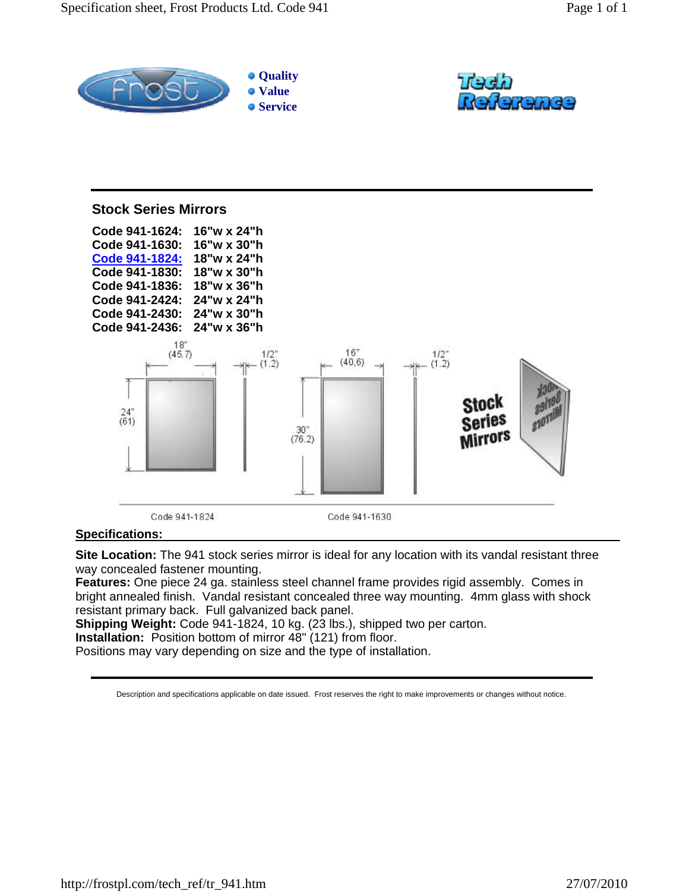



## **Stock Series Mirrors Code 941-1624: 16"w x 24"h Code 941-1630: 16"w x 30"h Code 941-1824: 18"w x 24"h Code 941-1830: 18"w x 30"h Code 941-1836: 18"w x 36"h Code 941-2424: 24"w x 24"h Code 941-2430: 24"w x 30"h Code 941-2436: 24"w x 36"h**  $18"$  $16"$  $1/2$ "<br>(1.2)  $(45.7)$  $^{1/2}_{(1.2)}$  $(40.6)$ Stock  $^{24^{\circ}}_{(61)}$ Series  $\frac{30}{(76.2)}$ **Mirrors** Code 941-1824 Code 941-1630

## **Specifications:**

**Site Location:** The 941 stock series mirror is ideal for any location with its vandal resistant three way concealed fastener mounting.

**Features:** One piece 24 ga. stainless steel channel frame provides rigid assembly. Comes in bright annealed finish. Vandal resistant concealed three way mounting. 4mm glass with shock resistant primary back. Full galvanized back panel.

**Shipping Weight:** Code 941-1824, 10 kg. (23 lbs.), shipped two per carton.

**Installation:** Position bottom of mirror 48" (121) from floor.

Positions may vary depending on size and the type of installation.

Description and specifications applicable on date issued. Frost reserves the right to make improvements or changes without notice.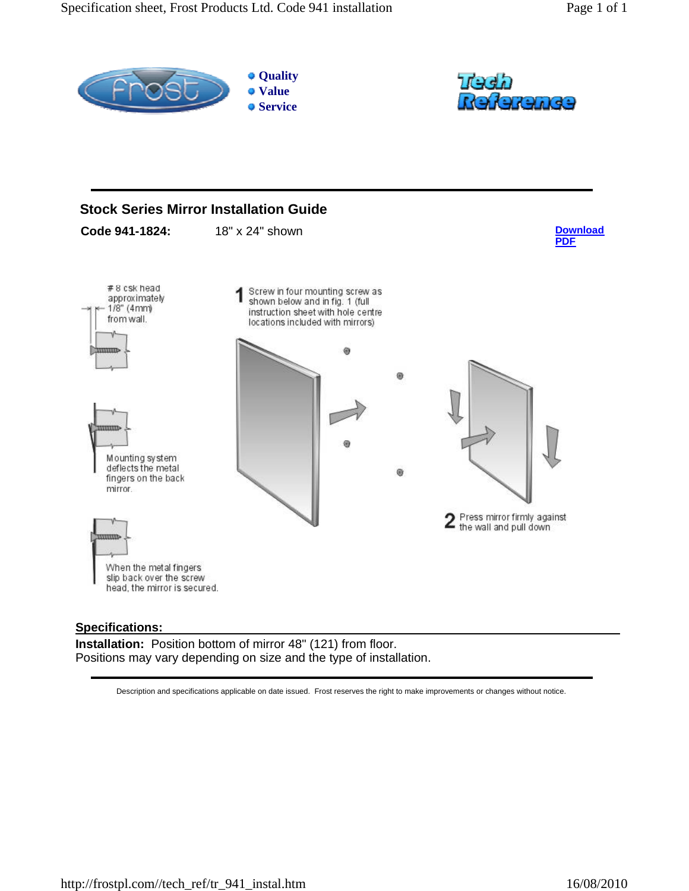

## **Specifications:**

**Installation:** Position bottom of mirror 48" (121) from floor. Positions may vary depending on size and the type of installation.

Description and specifications applicable on date issued. Frost reserves the right to make improvements or changes without notice.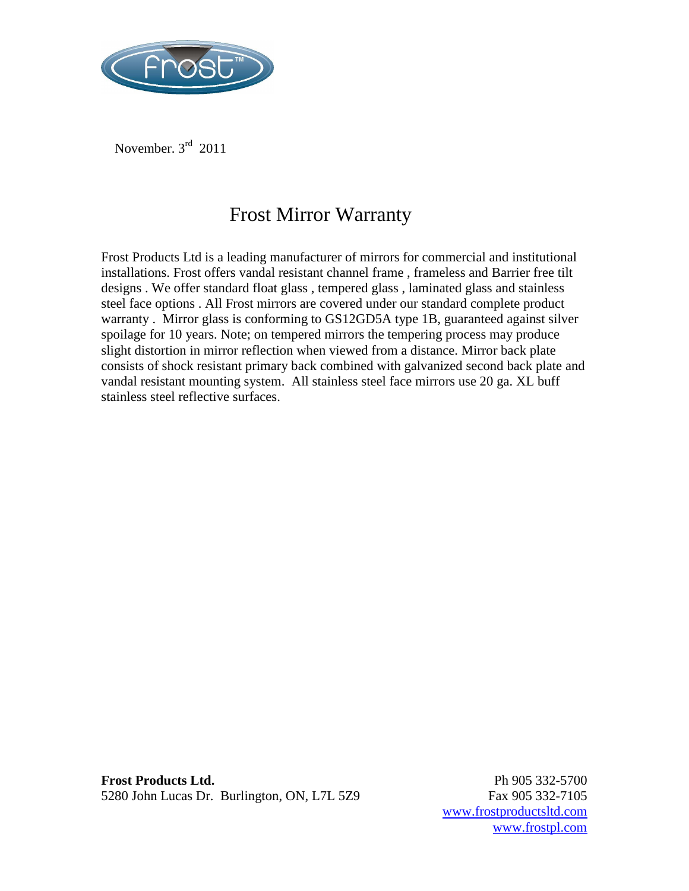

November. 3rd 2011

## Frost Mirror Warranty

Frost Products Ltd is a leading manufacturer of mirrors for commercial and institutional installations. Frost offers vandal resistant channel frame , frameless and Barrier free tilt designs . We offer standard float glass , tempered glass , laminated glass and stainless steel face options . All Frost mirrors are covered under our standard complete product warranty . Mirror glass is conforming to GS12GD5A type 1B, guaranteed against silver spoilage for 10 years. Note; on tempered mirrors the tempering process may produce slight distortion in mirror reflection when viewed from a distance. Mirror back plate consists of shock resistant primary back combined with galvanized second back plate and vandal resistant mounting system. All stainless steel face mirrors use 20 ga. XL buff stainless steel reflective surfaces.

**Frost Products Ltd.** Ph 905 332-5700 5280 John Lucas Dr. Burlington, ON, L7L 5Z9 Fax 905 332-7105

www.frostproductsltd.com www.frostpl.com